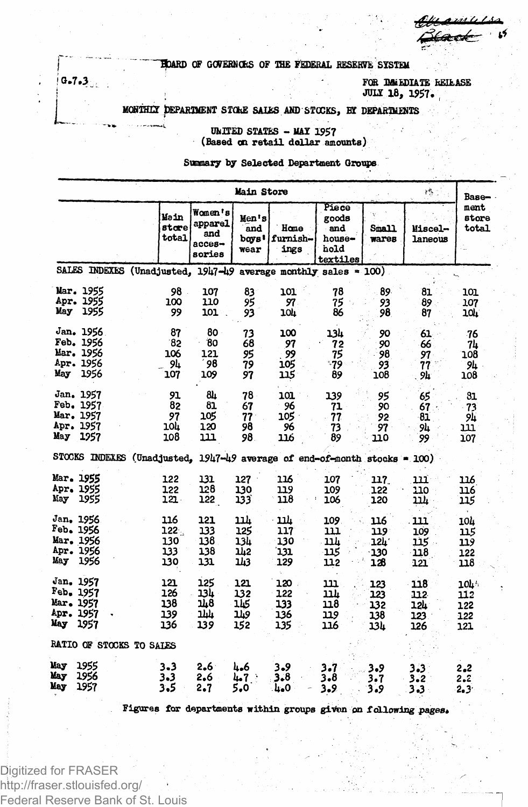*/gkmssitzj.-* ' \*\*

**) HOARD OF GCWEKNC&S OF THE FEDERAL BESEEMS SYSTEM**

**<sup>1</sup> 0.7.3 FOR IMMEDIATE REIEASE 1 . JUL! 18, 1957. ,**

## **| MCSiHTY tePARDIENT SICkE SAI£S AND STOCKS, BY DEPARTMBiTS**

**" UNITED STATES - MAX 1957 (Based on retail dollar amounts)**

**Summary by Selected Department Groups**

| Main Store<br>终。              |                                                                           |                                 |                                                  |                                  |                                 |                                                     |                                 |                                 |                                 |  |
|-------------------------------|---------------------------------------------------------------------------|---------------------------------|--------------------------------------------------|----------------------------------|---------------------------------|-----------------------------------------------------|---------------------------------|---------------------------------|---------------------------------|--|
|                               |                                                                           | Main<br>store<br>total          | Women's<br>apparel<br>and<br>$access-$<br>sories | Men's<br>and<br>boys!<br>wear    | Home<br>furnish-<br>ings        | Piece<br>goods<br>and<br>house-<br>hold<br>textiles | <b>Small</b><br>wares           | Miscel-<br>laneous              | Base—<br>ment<br>store<br>total |  |
|                               | SALES INDEXES (Unadjusted, 1947-49                                        |                                 |                                                  |                                  |                                 | average monthly sales $= 100$ )                     |                                 |                                 |                                 |  |
|                               | Mar. 1955                                                                 | 98                              | 107                                              | 83                               | 101                             | 78                                                  | 89.                             | 81                              | 101                             |  |
|                               | Apr. 1955                                                                 | 100                             | 110                                              | 95                               | 97                              | 75                                                  | 93                              | 89                              | 107                             |  |
|                               | May 1955                                                                  | 99                              | 101                                              | 93                               | 104                             | 86                                                  | 98                              | 87                              | 10L                             |  |
| May                           | Jan. 1956                                                                 | 87                              | 80                                               | 73                               | 100                             | 13h                                                 | 90                              | 61                              | -76                             |  |
|                               | Feb. 1956                                                                 | 82                              | 80                                               | 68                               | 97                              | 72                                                  | 90                              | 66                              | 74                              |  |
|                               | Mar. 1956                                                                 | 106                             | 121                                              | 95                               | 99                              | 75                                                  | 98                              | 97                              | 108                             |  |
|                               | Apr. 1956                                                                 | 94                              | 98                                               | 79                               | 105                             | -79                                                 | 93                              | 77                              | 94                              |  |
|                               | 1956                                                                      | 107                             | 109                                              | 97                               | 115                             | 89                                                  | 108                             | 9h                              | 108                             |  |
| May                           | Jan. 1957                                                                 | 91                              | 84                                               | 78                               | 101                             | 139                                                 | 95                              | 65                              | 81                              |  |
|                               | Feb. 1957                                                                 | 82                              | 81                                               | 67                               | 96                              | 71                                                  | 90                              | 67.                             | 73                              |  |
|                               | Mar. 1957                                                                 | 97                              | 105                                              | 77                               | 105 .                           | 77                                                  | 92                              | 81                              | 94                              |  |
|                               | Apr. 1957                                                                 | 10h                             | 120                                              | 98                               | 96                              | 73                                                  | 97                              | 94                              | נננ                             |  |
|                               | 1957                                                                      | 108                             | 111                                              | 98.                              | 116                             | 89                                                  | 110                             | 99                              | 107                             |  |
|                               | STOCKS INDEXES (Unadjusted, 1947-49 average of end-of-month stocks = 100) |                                 |                                                  |                                  |                                 |                                                     |                                 |                                 |                                 |  |
| May                           | Mar. 1955                                                                 | 122                             | 131                                              | 127                              | 116                             | 107                                                 | 117                             | 111                             | 116                             |  |
|                               | Apr. 1955                                                                 | 122                             | 128                                              | 130                              | 119                             | 109                                                 | 122                             | 110                             | 116                             |  |
|                               | 1955                                                                      | 121.                            | 122                                              | 133                              | 118                             | 106                                                 | 120                             | <u> 214</u>                     | 115                             |  |
| May                           | Jan. 1956                                                                 | 116                             | 121                                              | 11h                              | <u>11h</u>                      | 109                                                 | 116                             | 111                             | 10L                             |  |
|                               | Feb. 1956                                                                 | $122 -$                         | 133                                              | 125                              | 117                             | נננ                                                 | 119                             | 109                             | 115                             |  |
|                               | Mar. 1956                                                                 | 130                             | 138                                              | 13k                              | 130                             | 11 L                                                | 15F.                            | 115                             | 119                             |  |
|                               | Apr. 1956                                                                 | 133                             | 138                                              | 142                              | 131                             | 115                                                 | $-130$                          | 118                             | 122                             |  |
|                               | 1956                                                                      | 130                             | 131                                              | 143                              | 129                             | 112                                                 | 128                             | 121                             | 118                             |  |
| Mar. 1957<br>Apr. 1957<br>May | Jan. 1957<br>Feb. 1957<br>1957                                            | 121<br>126<br>138<br>139<br>136 | 125<br>13h<br>148<br>ىلىلا<br>139                | 121<br>132<br>115<br>9 لل<br>152 | 120<br>122<br>133<br>136<br>135 | נננ<br>עבנ<br>118<br>119<br>116                     | 123<br>123<br>132<br>138<br>13h | 118<br>112<br>12L<br>123<br>126 | 104<br>112<br>122<br>122<br>121 |  |
| RATIO OF STOCKS TO SALES      |                                                                           |                                 |                                                  |                                  |                                 |                                                     |                                 |                                 |                                 |  |
| May                           | 1955                                                                      | $3 - 3$                         | $2.6^{\circ}$                                    | 4.6                              | 3.9                             | 3.7                                                 | 3.9                             | 3.3                             | 2.2                             |  |
| May                           | 1956                                                                      | $3 - 3$                         | 2.6                                              | 4.7                              | 3.8                             | 3.8                                                 | 3.7                             | $3 - 2$                         | 2.2                             |  |
| May                           | 1957                                                                      | 3.5                             | 2.7                                              | 5.0                              | 0 م با                          | $3 - 9$                                             | 3.9                             | 3.3                             | $2.3^{\circ}$                   |  |

**Figures for departments within groups given pn f**allowing *pages\**

Digitized for FRASER http://fraser.stlouisfed.org/ Federal Reserve Bank of St. Louis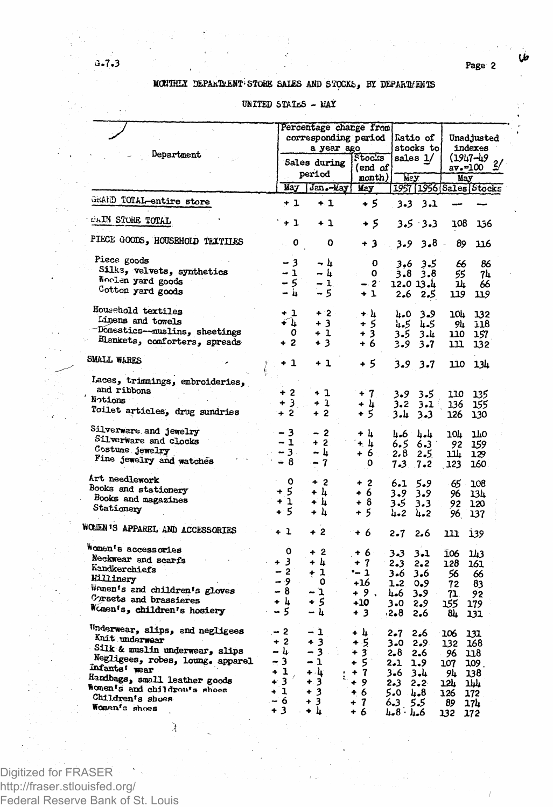طا

## MONTHLY DEPARTMENT STORE SALES AND STOCKS, BY DEPARTMENTS

## UNITED STATES - NAY

|                                                                                                                                                                                                                                                | Percentage change from                                            |                                                                 |                                                              |                                                                     |                                                            |                                                          |                                                              |  |  |
|------------------------------------------------------------------------------------------------------------------------------------------------------------------------------------------------------------------------------------------------|-------------------------------------------------------------------|-----------------------------------------------------------------|--------------------------------------------------------------|---------------------------------------------------------------------|------------------------------------------------------------|----------------------------------------------------------|--------------------------------------------------------------|--|--|
|                                                                                                                                                                                                                                                |                                                                   | corresponding period                                            |                                                              |                                                                     | fatio of                                                   | Unadjusted                                               |                                                              |  |  |
|                                                                                                                                                                                                                                                |                                                                   | a year ago                                                      |                                                              |                                                                     | stocks tol                                                 |                                                          | indexes                                                      |  |  |
| Department                                                                                                                                                                                                                                     |                                                                   |                                                                 | Stocks                                                       |                                                                     | sales 1/                                                   |                                                          | (1947–49                                                     |  |  |
|                                                                                                                                                                                                                                                |                                                                   | Sales during                                                    |                                                              |                                                                     |                                                            |                                                          |                                                              |  |  |
|                                                                                                                                                                                                                                                |                                                                   | period                                                          | (end of                                                      |                                                                     |                                                            | av.=100                                                  |                                                              |  |  |
|                                                                                                                                                                                                                                                |                                                                   |                                                                 | month)                                                       | hiay.                                                               |                                                            | May                                                      |                                                              |  |  |
|                                                                                                                                                                                                                                                | May                                                               | Jan.-May                                                        | May                                                          |                                                                     |                                                            |                                                          | 1957 [1956 Sales Stocks                                      |  |  |
| GRAND TOTAL-entire store                                                                                                                                                                                                                       | + 1                                                               | $+1$                                                            | + 5                                                          |                                                                     | $3.3$ $3.1$                                                |                                                          |                                                              |  |  |
| EAIN STORE TOTAL                                                                                                                                                                                                                               | $+1$                                                              | + 1                                                             | + 5                                                          |                                                                     | 3.5.3.3                                                    | 108                                                      | 156                                                          |  |  |
| PIECE GOODS, HOUSEHOLD TEXTILES                                                                                                                                                                                                                | 0                                                                 | ٥                                                               | + 3                                                          | $3 - 9$                                                             | 3.8                                                        | 89                                                       | 116                                                          |  |  |
| Piece goods<br>Silks, velvets, synthetics<br>Woolen yard goods<br>Cotton yard goods                                                                                                                                                            | 3<br>$-1$<br>- 5<br>– 4                                           | - 4<br>– հ<br>$-1$<br>- 5                                       | 0<br>0<br>$-.2^\circ$<br>+ 1                                 | 3.6<br>3.8<br>12.0 13.4<br>2.6                                      | 3.5<br>3.8<br>2.5                                          | 66<br>55<br>14<br>119                                    | 86<br>74<br>66<br>119                                        |  |  |
| Household textiles<br>Linens and towels<br>Domestics-muslins, sheetings<br>Blankets, comforters, spreads                                                                                                                                       | + 1<br>Ք հ<br>0<br>$+2$                                           | $+2$<br>+ 3<br>+ 1<br>$+3$                                      | + և<br>+ 5<br>+3<br>+ 6                                      | 4.0<br>4.5<br>3.5<br>3.9                                            | 3.9<br>4.5<br>3.4<br>3.7                                   | 10P<br>94<br>סבב<br>ш                                    | 132<br>118<br>157<br>132                                     |  |  |
| <b>SMALL WARES</b>                                                                                                                                                                                                                             | $+1$                                                              | + 1                                                             | + 5                                                          | 3.9                                                                 | $3 - 7$                                                    | 110                                                      | 134                                                          |  |  |
| Laces, trimmings, embroideries,<br>and ribbons<br>Notions<br>Toilet articles, drug sundries                                                                                                                                                    | $+2$<br>$+3$<br>$+2$                                              | + 1<br>+ 1<br>$+2$                                              | $+7$<br>+ 4<br>+ 5                                           | 3.9<br>3.2<br>3.և                                                   | 3.5<br>3.1.<br>3.3                                         | 110<br>136<br>126                                        | 135<br>155<br>130                                            |  |  |
| Silverware and jewelry<br>Silverware and clocks<br>Costume jewelry<br>Fine jewelry and watches                                                                                                                                                 | $-3$<br>$-1$<br>$-3.$<br>- 8                                      | - 2<br>$+2$<br>- և<br>7<br>$\overline{\phantom{a}}$             | + h<br>$+1$<br>+ 6<br>0                                      | 4.6<br>6.5<br>2.8<br>$7 - 3 = 7 - 2$                                | جاءبة<br>6.3<br>2.5                                        | 10L<br>92<br>עבב<br>123                                  | ıю<br>159<br>129<br>160                                      |  |  |
| Art needlework<br>Books and stationery<br>Books and magazines<br>Stationery                                                                                                                                                                    | $\mathbf o$<br>+ 5<br>ı<br>٠<br>$+5$                              | $+2$<br>+ 4<br>+ 4<br>4<br>÷                                    | $+2$<br>+ 6<br>+ 8<br>+ 5.                                   | 6.1<br>3.9<br>3.5<br>4.2                                            | 5.9<br>3.9<br>3.3<br>4.2                                   | 65<br>96<br>92<br>96.                                    | 108<br>13h<br>120<br>137                                     |  |  |
| WOMEN'S APPAREL AND ACCESSORIES                                                                                                                                                                                                                | + 1                                                               | + 2                                                             | + 6                                                          | 2.7                                                                 | 2.6                                                        | ш                                                        | 139                                                          |  |  |
| Women's accessories<br>Neckwear and scarfs<br>Kandkerchiefs<br>Millinery<br>Women's and children's gloves<br>Corsets and brassieres<br>Women's, children's hosiery                                                                             | 0<br>+ 3<br>$-2$<br>- 9<br>- 8<br>+ 4<br>$\sim 10^7$<br>- 5       | + 2<br>+ h<br>$+1$<br>$\mathbf{o}$<br>- 1<br>+ 5<br>– հ         | + 6<br>+ 7<br>-- 1<br>+16<br>+9.<br>+10<br>+3                | 3.3<br>2.3<br>3.6<br>$1 - 2$<br>4.6<br>3.0<br>$-2-8$                | 3.1<br>2,2<br>3.6<br>0.9<br>3.9.<br>2.9<br>2.6             | 106<br>128<br>56<br>72<br>71.<br>155<br>84               | ıщ<br>161<br>66<br>83<br>92<br>179<br>131                    |  |  |
| Underwear, slips, and negligees<br>Knit underwear<br>Silk & muslin underwear, slips<br>Negligees, robes, loung. apparel<br>Infants' wear<br>Handbags, small leather goods<br>Women's and children's shoes<br>Children's shoes<br>Women's shoes | $-2$<br>$+2$<br>– և<br>- 3<br>+ 1<br>$+3$<br>$+1$<br>$-6$<br>$+3$ | - 1<br>+ 3<br>- 3<br>- 1<br>+ կ<br>$+3$<br>$+3$<br>+ 3<br>. – հ | + 4<br>+ 5<br>+3<br>$+5$<br>+ 7<br>+ 9<br>+ 6<br>$+7$<br>+ 6 | 2.7<br>3.0<br>2.8<br>2.1<br>3.6<br>2.3<br>5.0<br>6.3<br>$4.8 \t1.6$ | 2.6<br>2.9<br>2.6<br>1.9<br>3.L<br>$2 - 2 -$<br>հ.8<br>5.5 | 106<br>132<br>96<br>107<br>94<br>12L<br>126<br>89<br>132 | 131<br>168<br>118<br>109.<br>138<br>հահ<br>172<br>174<br>172 |  |  |

Digitized for FRASER a Pras http://fraser.stlouisfed.org/ Federal Reserve Bank of St. Louis

 $\lambda$ 

 $\tau = 1$  $-7 - 3$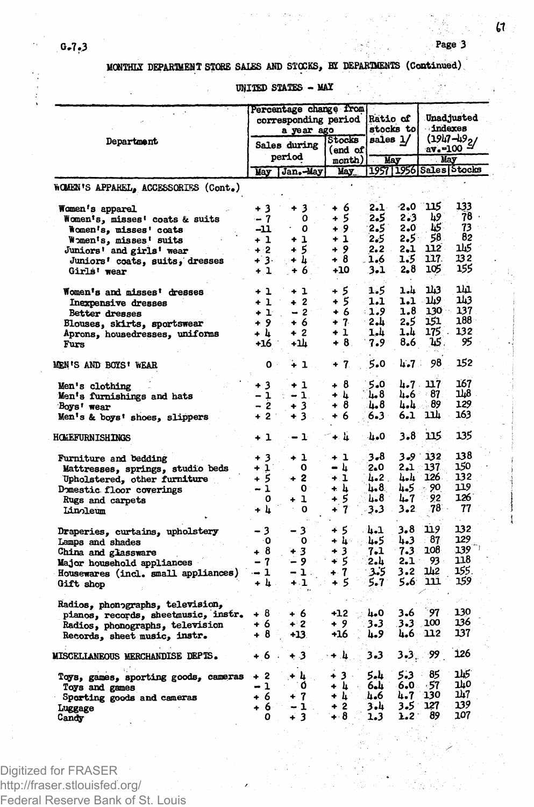**G"7.3 Page 3**

**MONTHIX DEPARTMENT STORE SALES AMD STOCKS, BX DEPARTMENTS (Continued)**

**UNITED STATES - MAX**

|                                         |                | Percentage change from<br>corresponding period<br>a year ago |                   | <b>Ratio of</b><br>stocks to |               | <b>Unadjusted</b><br>indexes |                              |  |
|-----------------------------------------|----------------|--------------------------------------------------------------|-------------------|------------------------------|---------------|------------------------------|------------------------------|--|
| Department                              |                | Sales during<br>period                                       | Stocks<br>(end of | sales l/                     |               | av.-100 ·                    | $(1947 - 49)$                |  |
|                                         |                | May Jan.-May                                                 | month)<br>May     |                              | May           | May                          | 1957   1956   Sales   Stocks |  |
| WOMEN'S APPAREL, ACCESSORIES (Cont.)    |                |                                                              |                   |                              |               |                              |                              |  |
| Women's apparel                         | + 3            | + 3                                                          | + 6               | 2.1                          | -2.0          | 115                          | 133                          |  |
| Women's, misses' coats & suits          | $-7$           | 0                                                            | + 5               | 2.5                          | 2.3           | h9                           | 78                           |  |
| Women's, misses' coats                  | -11            | 0                                                            | $+9.$             | 2.5                          | 2.0           | 45.                          | 73<br>82                     |  |
| Women's, misses' suits                  | + 1            | + 1                                                          | + 1               | 2.5                          | $2.5^{\circ}$ | 58<br>112.                   | كىلا                         |  |
| Juniors' and girls' wear                | $+2$           | $+5$                                                         | + 9               | $2.2 -$                      | $2-1$         | 117.                         | 132                          |  |
| Juniors' coats, suits, dresses          | $+3.$          | + h                                                          | + 8               | 6ء1۔                         | 1.5           |                              |                              |  |
| Girls' wear                             | $+1$           | + 6.                                                         | $+10$             | 3.1                          | 2,8           | 105                          | 155                          |  |
| Women's and misses' dresses             | + 1            | $+1$                                                         | + 5               | 1.5                          | 1.h           | 143                          | ıш                           |  |
| Inexpensive dresses                     | $+1$           | $+2$                                                         | + 5               | 1.1                          | 1.1 -         | 119                          | ນນ                           |  |
| Better dresses                          | $+1$           | $-2$                                                         | + 6               | - 1.9                        | 1.8           | 130                          | 137                          |  |
| Blouses, skirts, sportswear             | +9             | + 6                                                          | $+7$              | - 2.4                        | 2.5           | 151                          | 188                          |  |
| Aprons, housedresses, uniforms          | + L            | $+2$                                                         | + 1               | 1.4                          | 1.4           | 175.                         | 132                          |  |
| Furs                                    | +16            | -14                                                          | + 8.              | $7.9^{\circ}$                | 8.6           | 15.                          | 95                           |  |
| MEN'S AND BOYS' WEAR                    | $\mathbf{0}$ . | $+1$                                                         | + 7.              | 5.0                          | $4.7 -$       | 98                           | 152                          |  |
| Men's clothing                          | + 3            | $+1$                                                         | + 8               | 5.0                          |               | $4.7 \t117$                  | 167                          |  |
| Men's furnishings and hats              | - 1            | $-1$ .                                                       | + 4               | 4.8                          |               | $4-6$ 87                     | IJ8                          |  |
| Boys' wear                              | - 2            | $+3$                                                         | + 8               | 4.8                          |               | $4 - 4 - 89$                 | 129                          |  |
| Men's & boys' shoes, slippers           | $+2$           | $+3$                                                         | + 6               | 6.3                          | 6.1           | ıш                           | 163                          |  |
| HOMEFURNISHINGS                         | $+1$           | $-1$                                                         | + և               | 4.0                          | 3.8           | 115                          | 135                          |  |
| Furniture and bedding                   | + 3            | + 1                                                          | + 1               | 3.8                          |               | $3 - 9$ 132                  | 138                          |  |
| Mattresses, springs, studio beds        | $+1$           | 0                                                            | ∸ և               | 2.0                          | ∵ 1ہ2         | 137                          | 150                          |  |
| Upholstered, other furniture            | +5             | $+2$                                                         | $+1$              | 4.2.                         | հեր           | 126.                         | 132                          |  |
| Domestic floor coverings                | - 1            | $\mathbf{o}$                                                 | + և               | 4.8                          | 4.5.          | 90                           | 119                          |  |
| Rugs and carpets                        | 0              | + 1                                                          | + 5               | L.8                          | 4.7           | 92                           | 126                          |  |
| Linoleum                                | + հ            | 0                                                            | $+7$              | 3.3                          | 3.2           | .78                          | 77                           |  |
| Draperies, curtains, upholstery         | - 3            | 3<br>-                                                       | + 5               | -4.1                         | 3.8.          | 119                          | 132                          |  |
| Lamps and shades                        | ۰O             | 0                                                            | + 45              | - 45                         | 4.3           | - 87                         | 129                          |  |
| China and glassware                     | + 8            | + 3                                                          | + 3               | 7.1                          | $7 - 3$       | 108                          | 139                          |  |
| Major household appliances              | - 7            | - 9                                                          | + 5               | 2.4                          | 2.1           | 93 -                         | 118                          |  |
| Housewares (incl. small appliances)     | - 1            | $-1$ :                                                       | $+7$              | 3.5                          | $3 - 2$       | 142                          | 155.                         |  |
| Gift shop                               | + 4            | $+1$                                                         | + 5               | 5.7                          | 5.6.          | 111                          | 159                          |  |
| Radios, phonographs, television,        |                |                                                              |                   |                              |               |                              |                              |  |
| pianos, records, sheetmusic, instr.     | + 8            | + 6                                                          | +12               | 4.0                          | 3.6           | 97                           | 130                          |  |
| Radios, phonographs, television         | + 6            | $+2$                                                         | +9                | 3.3                          | 3.3           | 100                          | 136                          |  |
| Records, sheet music, instr.            | +8             | $+13.$                                                       | +16               | 4.9                          | 4.6           | 112                          | 137                          |  |
| <b>MISCELLANEOUS MERCHANDISE DEPIS.</b> | + 6            | + 3                                                          | ÷4.               | 3.3                          | 3.3.          | .99                          | 126                          |  |
| Toys, games, sporting goods, cameras    | + 2            | + L                                                          | +3 -              | 5.4                          | $5 - 3$       | 85<br>- 2                    | 115                          |  |
| Toys and games                          | - 1            | Ó                                                            | + և               | 6.L                          |               | 6.0.57                       | 140                          |  |
| Sporting goods and cameras              | + 6            | $+7$                                                         | + և               | 4.6                          | 4.7           | 130                          | 147                          |  |
| Luggage                                 | + 6            | - 1                                                          | $+2$              | 3.4                          | 3.51          | 127                          | 139                          |  |
| Candy                                   | ٥              | $+3$                                                         | $+8$              | 1.3                          | $1.2^-$       | 89                           | 107                          |  |

Digitized for FRASER http://fraser.stlouisfed.org/ Federal Reserve Bank of St. Louis  $\mathfrak{c}$